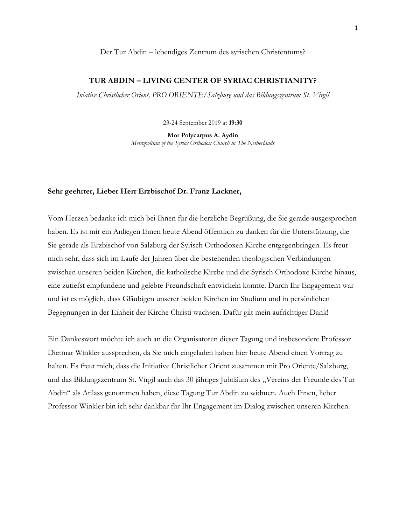## Der Tur Abdin – lebendiges Zentrum des syrischen Christentums?

## **TUR ABDIN – LIVING CENTER OF SYRIAC CHRISTIANITY?**

*Iniative Christlicher Orient, PRO ORIENTE/Salzburg und das Bildungszentrum St. Virgil*

23-24 September 2019 at **19:30**

**Mor Polycarpus A. Aydin** *Metropolitan of the Syriac Orthodox Church in The Netherlands*

#### **Sehr geehrter, Lieber Herr Erzbischof Dr. Franz Lackner,**

Vom Herzen bedanke ich mich bei Ihnen für die herzliche Begrüßung, die Sie gerade ausgesprochen haben. Es ist mir ein Anliegen Ihnen heute Abend öffentlich zu danken für die Unterstützung, die Sie gerade als Erzbischof von Salzburg der Syrisch Orthodoxen Kirche entgegenbringen. Es freut mich sehr, dass sich im Laufe der Jahren über die bestehenden theologischen Verbindungen zwischen unseren beiden Kirchen, die katholische Kirche und die Syrisch Orthodoxe Kirche hinaus, eine zutiefst empfundene und gelebte Freundschaft entwickeln konnte. Durch Ihr Engagement war und ist es möglich, dass Gläubigen unserer beiden Kirchen im Studium und in persönlichen Begegnungen in der Einheit der Kirche Christi wachsen. Dafür gilt mein aufrichtiger Dank!

Ein Dankeswort möchte ich auch an die Organisatoren dieser Tagung und insbesondere Professor Dietmar Winkler aussprechen, da Sie mich eingeladen haben hier heute Abend einen Vortrag zu halten. Es freut mich, dass die Initiative Christlicher Orient zusammen mit Pro Oriente/Salzburg, und das Bildungszentrum St. Virgil auch das 30 jähriges Jubiläum des "Vereins der Freunde des Tur Abdin" als Anlass genommen haben, diese Tagung Tur Abdin zu widmen. Auch Ihnen, lieber Professor Winkler bin ich sehr dankbar für Ihr Engagement im Dialog zwischen unseren Kirchen.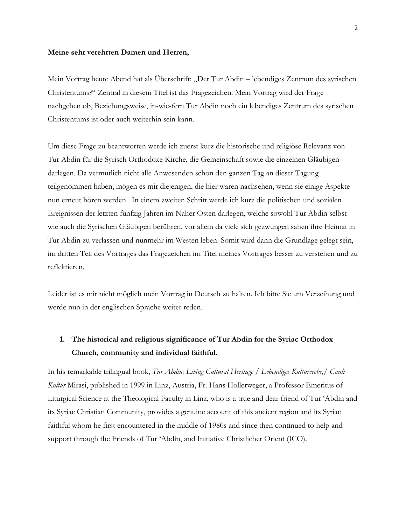#### **Meine sehr verehrten Damen und Herren,**

Mein Vortrag heute Abend hat als Überschrift: "Der Tur Abdin – lebendiges Zentrum des syrischen Christentums?" Zentral in diesem Titel ist das Fragezeichen. Mein Vortrag wird der Frage nachgehen ob, Beziehungsweise, in-wie-fern Tur Abdin noch ein lebendiges Zentrum des syrischen Christentums ist oder auch weiterhin sein kann.

Um diese Frage zu beantworten werde ich zuerst kurz die historische und religiöse Relevanz von Tur Abdin für die Syrisch Orthodoxe Kirche, die Gemeinschaft sowie die einzelnen Gläubigen darlegen. Da vermutlich nicht alle Anwesenden schon den ganzen Tag an dieser Tagung teilgenommen haben, mögen es mir diejenigen, die hier waren nachsehen, wenn sie einige Aspekte nun erneut hören werden. In einem zweiten Schritt werde ich kurz die politischen und sozialen Ereignissen der letzten fünfzig Jahren im Naher Osten darlegen, welche sowohl Tur Abdin selbst wie auch die Syrischen Gläubigen berühren, vor allem da viele sich gezwungen sahen ihre Heimat in Tur Abdin zu verlassen und nunmehr im Westen leben. Somit wird dann die Grundlage gelegt sein, im dritten Teil des Vortrages das Fragezeichen im Titel meines Vortrages besser zu verstehen und zu reflektieren.

Leider ist es mir nicht möglich mein Vortrag in Deutsch zu halten. Ich bitte Sie um Verzeihung und werde nun in der englischen Sprache weiter reden.

# **1. The historical and religious significance of Tur Abdin for the Syriac Orthodox Church, community and individual faithful.**

In his remarkable trilingual book, *Tur Abdin: Living Cultural Heritage / Lebendiges Kulturerebe,/ Canli Kultur* Mirasi, published in 1999 in Linz, Austria, Fr. Hans Hollerweger, a Professor Emeritus of Liturgical Science at the Theological Faculty in Linz, who is a true and dear friend of Tur 'Abdin and its Syriac Christian Community, provides a genuine account of this ancient region and its Syriac faithful whom he first encountered in the middle of 1980s and since then continued to help and support through the Friends of Tur 'Abdin, and Initiative Christlicher Orient (ICO).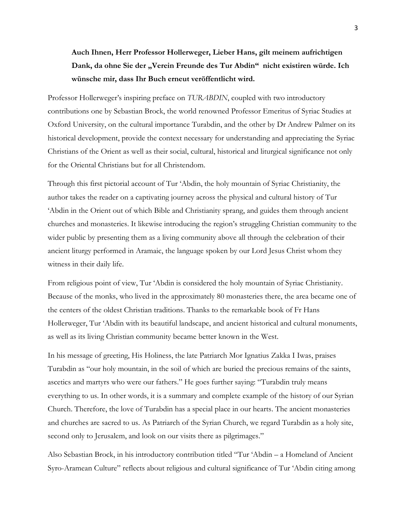**Auch Ihnen, Herr Professor Hollerweger, Lieber Hans, gilt meinem aufrichtigen Dank, da ohne Sie der "Verein Freunde des Tur Abdin" nicht existiren würde. Ich wünsche mir, dass Ihr Buch erneut veröffentlicht wird.**

Professor Hollerweger's inspiring preface on *TURABDIN*, coupled with two introductory contributions one by Sebastian Brock, the world renowned Professor Emeritus of Syriac Studies at Oxford University, on the cultural importance Turabdin, and the other by Dr Andrew Palmer on its historical development, provide the context necessary for understanding and appreciating the Syriac Christians of the Orient as well as their social, cultural, historical and liturgical significance not only for the Oriental Christians but for all Christendom.

Through this first pictorial account of Tur 'Abdin, the holy mountain of Syriac Christianity, the author takes the reader on a captivating journey across the physical and cultural history of Tur 'Abdin in the Orient out of which Bible and Christianity sprang, and guides them through ancient churches and monasteries. It likewise introducing the region's struggling Christian community to the wider public by presenting them as a living community above all through the celebration of their ancient liturgy performed in Aramaic, the language spoken by our Lord Jesus Christ whom they witness in their daily life.

From religious point of view, Tur 'Abdin is considered the holy mountain of Syriac Christianity. Because of the monks, who lived in the approximately 80 monasteries there, the area became one of the centers of the oldest Christian traditions. Thanks to the remarkable book of Fr Hans Hollerweger, Tur 'Abdin with its beautiful landscape, and ancient historical and cultural monuments, as well as its living Christian community became better known in the West.

In his message of greeting, His Holiness, the late Patriarch Mor Ignatius Zakka I Iwas, praises Turabdin as "our holy mountain, in the soil of which are buried the precious remains of the saints, ascetics and martyrs who were our fathers." He goes further saying: "Turabdin truly means everything to us. In other words, it is a summary and complete example of the history of our Syrian Church. Therefore, the love of Turabdin has a special place in our hearts. The ancient monasteries and churches are sacred to us. As Patriarch of the Syrian Church, we regard Turabdin as a holy site, second only to Jerusalem, and look on our visits there as pilgrimages."

Also Sebastian Brock, in his introductory contribution titled "Tur 'Abdin – a Homeland of Ancient Syro-Aramean Culture" reflects about religious and cultural significance of Tur 'Abdin citing among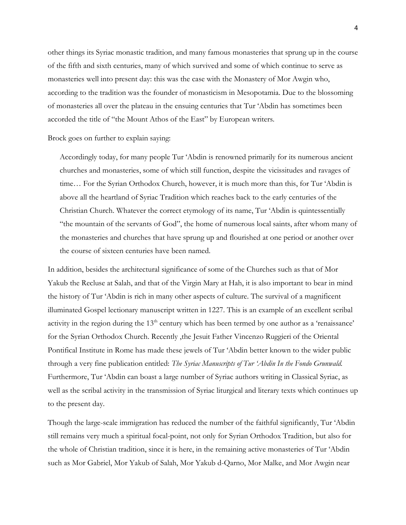other things its Syriac monastic tradition, and many famous monasteries that sprung up in the course of the fifth and sixth centuries, many of which survived and some of which continue to serve as monasteries well into present day: this was the case with the Monastery of Mor Awgin who, according to the tradition was the founder of monasticism in Mesopotamia. Due to the blossoming of monasteries all over the plateau in the ensuing centuries that Tur 'Abdin has sometimes been accorded the title of "the Mount Athos of the East" by European writers.

Brock goes on further to explain saying:

Accordingly today, for many people Tur 'Abdin is renowned primarily for its numerous ancient churches and monasteries, some of which still function, despite the vicissitudes and ravages of time… For the Syrian Orthodox Church, however, it is much more than this, for Tur 'Abdin is above all the heartland of Syriac Tradition which reaches back to the early centuries of the Christian Church. Whatever the correct etymology of its name, Tur 'Abdin is quintessentially "the mountain of the servants of God", the home of numerous local saints, after whom many of the monasteries and churches that have sprung up and flourished at one period or another over the course of sixteen centuries have been named.

In addition, besides the architectural significance of some of the Churches such as that of Mor Yakub the Recluse at Salah, and that of the Virgin Mary at Hah, it is also important to bear in mind the history of Tur 'Abdin is rich in many other aspects of culture. The survival of a magnificent illuminated Gospel lectionary manuscript written in 1227. This is an example of an excellent scribal activity in the region during the 13<sup>th</sup> century which has been termed by one author as a 'renaissance' for the Syrian Orthodox Church. Recently ,the Jesuit Father Vincenzo Ruggieri of the Oriental Pontifical Institute in Rome has made these jewels of Tur 'Abdin better known to the wider public through a very fine publication entitled: *The Syriac Manuscripts of Tur 'Abdin In the Fondo Grunwald.* Furthermore, Tur 'Abdin can boast a large number of Syriac authors writing in Classical Syriac, as well as the scribal activity in the transmission of Syriac liturgical and literary texts which continues up to the present day.

Though the large-scale immigration has reduced the number of the faithful significantly, Tur 'Abdin still remains very much a spiritual focal-point, not only for Syrian Orthodox Tradition, but also for the whole of Christian tradition, since it is here, in the remaining active monasteries of Tur 'Abdin such as Mor Gabriel, Mor Yakub of Salah, Mor Yakub d-Qarno, Mor Malke, and Mor Awgin near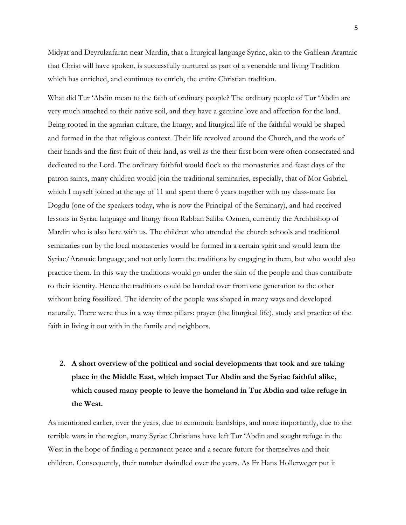Midyat and Deyrulzafaran near Mardin, that a liturgical language Syriac, akin to the Galilean Aramaic that Christ will have spoken, is successfully nurtured as part of a venerable and living Tradition which has enriched, and continues to enrich, the entire Christian tradition.

What did Tur 'Abdin mean to the faith of ordinary people? The ordinary people of Tur 'Abdin are very much attached to their native soil, and they have a genuine love and affection for the land. Being rooted in the agrarian culture, the liturgy, and liturgical life of the faithful would be shaped and formed in the that religious context. Their life revolved around the Church, and the work of their hands and the first fruit of their land, as well as the their first born were often consecrated and dedicated to the Lord. The ordinary faithful would flock to the monasteries and feast days of the patron saints, many children would join the traditional seminaries, especially, that of Mor Gabriel, which I myself joined at the age of 11 and spent there 6 years together with my class-mate Isa Dogdu (one of the speakers today, who is now the Principal of the Seminary), and had received lessons in Syriac language and liturgy from Rabban Saliba Ozmen, currently the Archbishop of Mardin who is also here with us. The children who attended the church schools and traditional seminaries run by the local monasteries would be formed in a certain spirit and would learn the Syriac/Aramaic language, and not only learn the traditions by engaging in them, but who would also practice them. In this way the traditions would go under the skin of the people and thus contribute to their identity. Hence the traditions could be handed over from one generation to the other without being fossilized. The identity of the people was shaped in many ways and developed naturally. There were thus in a way three pillars: prayer (the liturgical life), study and practice of the faith in living it out with in the family and neighbors.

# **2. A short overview of the political and social developments that took and are taking place in the Middle East, which impact Tur Abdin and the Syriac faithful alike, which caused many people to leave the homeland in Tur Abdin and take refuge in the West.**

As mentioned earlier, over the years, due to economic hardships, and more importantly, due to the terrible wars in the region, many Syriac Christians have left Tur 'Abdin and sought refuge in the West in the hope of finding a permanent peace and a secure future for themselves and their children. Consequently, their number dwindled over the years. As Fr Hans Hollerweger put it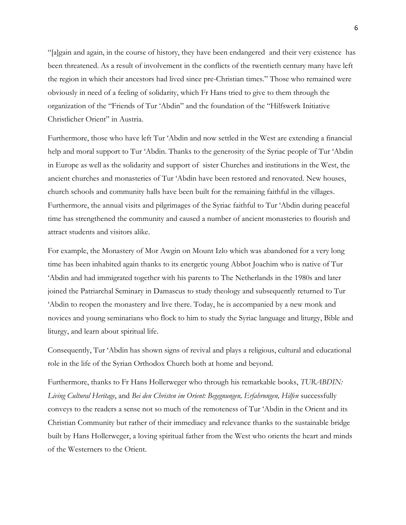"[a]gain and again, in the course of history, they have been endangered and their very existence has been threatened. As a result of involvement in the conflicts of the twentieth century many have left the region in which their ancestors had lived since pre-Christian times." Those who remained were obviously in need of a feeling of solidarity, which Fr Hans tried to give to them through the organization of the "Friends of Tur 'Abdin" and the foundation of the "Hilfswerk Initiative Christlicher Orient" in Austria.

Furthermore, those who have left Tur 'Abdin and now settled in the West are extending a financial help and moral support to Tur 'Abdin. Thanks to the generosity of the Syriac people of Tur 'Abdin in Europe as well as the solidarity and support of sister Churches and institutions in the West, the ancient churches and monasteries of Tur 'Abdin have been restored and renovated. New houses, church schools and community halls have been built for the remaining faithful in the villages. Furthermore, the annual visits and pilgrimages of the Syriac faithful to Tur 'Abdin during peaceful time has strengthened the community and caused a number of ancient monasteries to flourish and attract students and visitors alike.

For example, the Monastery of Mor Awgin on Mount Izlo which was abandoned for a very long time has been inhabited again thanks to its energetic young Abbot Joachim who is native of Tur 'Abdin and had immigrated together with his parents to The Netherlands in the 1980s and later joined the Patriarchal Seminary in Damascus to study theology and subsequently returned to Tur 'Abdin to reopen the monastery and live there. Today, he is accompanied by a new monk and novices and young seminarians who flock to him to study the Syriac language and liturgy, Bible and liturgy, and learn about spiritual life.

Consequently, Tur 'Abdin has shown signs of revival and plays a religious, cultural and educational role in the life of the Syrian Orthodox Church both at home and beyond.

Furthermore, thanks to Fr Hans Hollerweger who through his remarkable books, *TURABDIN: Living Cultural Heritage*, and *Bei den Christen im Orient: Begegnungen, Erfahrungen, Hilfen* successfully conveys to the readers a sense not so much of the remoteness of Tur 'Abdin in the Orient and its Christian Community but rather of their immediacy and relevance thanks to the sustainable bridge built by Hans Hollerweger, a loving spiritual father from the West who orients the heart and minds of the Westerners to the Orient.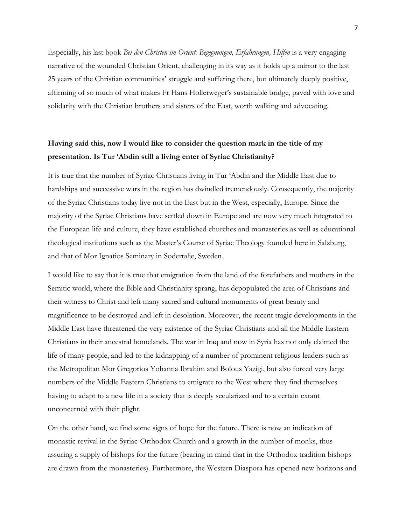Especially, his last book *Bei den Christen im Orient: Begegnungen, Erfahrungen, Hilfen* is a very engaging narrative of the wounded Christian Orient, challenging in its way as it holds up a mirror to the last 25 years of the Christian communities' struggle and suffering there, but ultimately deeply positive, affirming of so much of what makes Fr Hans Hollerweger's sustainable bridge, paved with love and solidarity with the Christian brothers and sisters of the East, worth walking and advocating.

# **Having said this, now I would like to consider the question mark in the title of my presentation. Is Tur 'Abdin still a living enter of Syriac Christianity?**

It is true that the number of Syriac Christians living in Tur 'Abdin and the Middle East due to hardships and successive wars in the region has dwindled tremendously. Consequently, the majority of the Syriac Christians today live not in the East but in the West, especially, Europe. Since the majority of the Syriac Christians have settled down in Europe and are now very much integrated to the European life and culture, they have established churches and monasteries as well as educational theological institutions such as the Master's Course of Syriac Theology founded here in Salzburg, and that of Mor Ignatios Seminary in Sodertalje, Sweden.

I would like to say that it is true that emigration from the land of the forefathers and mothers in the Semitic world, where the Bible and Christianity sprang, has depopulated the area of Christians and their witness to Christ and left many sacred and cultural monuments of great beauty and magnificence to be destroyed and left in desolation. Moreover, the recent tragic developments in the Middle East have threatened the very existence of the Syriac Christians and all the Middle Eastern Christians in their ancestral homelands. The war in Iraq and now in Syria has not only claimed the life of many people, and led to the kidnapping of a number of prominent religious leaders such as the Metropolitan Mor Gregorios Yohanna Ibrahim and Bolous Yazigi, but also forced very large numbers of the Middle Eastern Christians to emigrate to the West where they find themselves having to adapt to a new life in a society that is deeply secularized and to a certain extant unconcerned with their plight.

On the other hand, we find some signs of hope for the future. There is now an indication of monastic revival in the Syriac-Orthodox Church and a growth in the number of monks, thus assuring a supply of bishops for the future (bearing in mind that in the Orthodox tradition bishops are drawn from the monasteries). Furthermore, the Western Diaspora has opened new horizons and